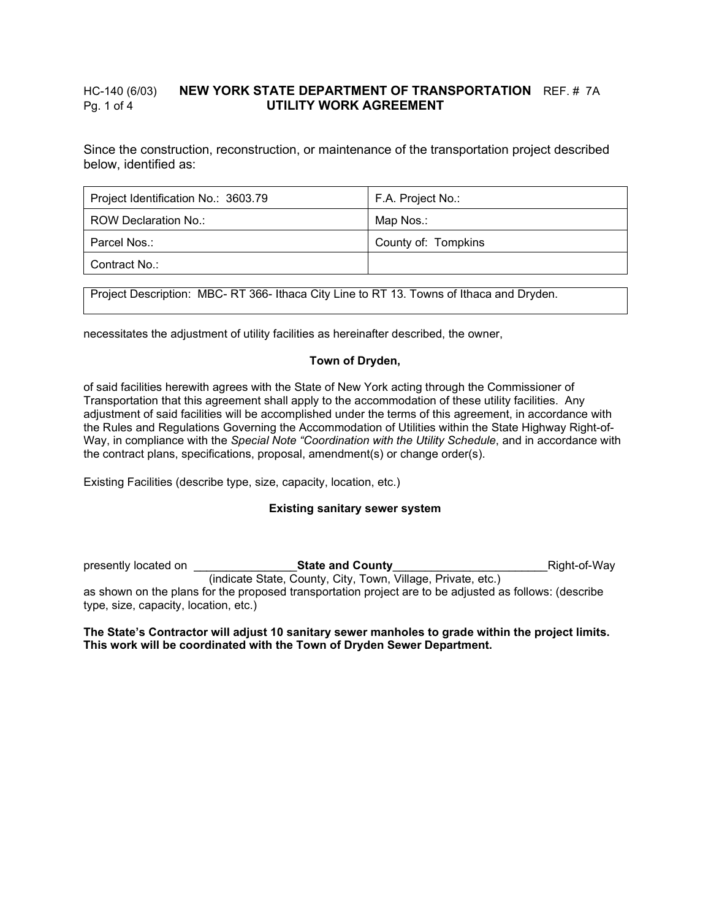## HC-140 (6/03) **NEW YORK STATE DEPARTMENT OF TRANSPORTATION** REF. # 7A Pg. 1 of 4 **UTILITY WORK AGREEMENT**

Since the construction, reconstruction, or maintenance of the transportation project described below, identified as:

| Project Identification No.: 3603.79 | F.A. Project No.:   |
|-------------------------------------|---------------------|
| ROW Declaration No.:                | Map Nos.:           |
| Parcel Nos.:                        | County of: Tompkins |
| Contract No.:                       |                     |

Project Description: MBC- RT 366- Ithaca City Line to RT 13. Towns of Ithaca and Dryden.

necessitates the adjustment of utility facilities as hereinafter described, the owner,

## **Town of Dryden,**

of said facilities herewith agrees with the State of New York acting through the Commissioner of Transportation that this agreement shall apply to the accommodation of these utility facilities. Any adjustment of said facilities will be accomplished under the terms of this agreement, in accordance with the Rules and Regulations Governing the Accommodation of Utilities within the State Highway Right-of-Way, in compliance with the *Special Note "Coordination with the Utility Schedule*, and in accordance with the contract plans, specifications, proposal, amendment(s) or change order(s).

Existing Facilities (describe type, size, capacity, location, etc.)

## **Existing sanitary sewer system**

presently located on \_\_\_\_\_\_\_\_\_\_\_\_\_\_\_\_**State and County**\_\_\_\_\_\_\_\_\_\_\_\_\_\_\_\_\_\_\_\_\_\_\_\_Right-of-Way (indicate State, County, City, Town, Village, Private, etc.) as shown on the plans for the proposed transportation project are to be adjusted as follows: (describe type, size, capacity, location, etc.)

### **The State's Contractor will adjust 10 sanitary sewer manholes to grade within the project limits. This work will be coordinated with the Town of Dryden Sewer Department.**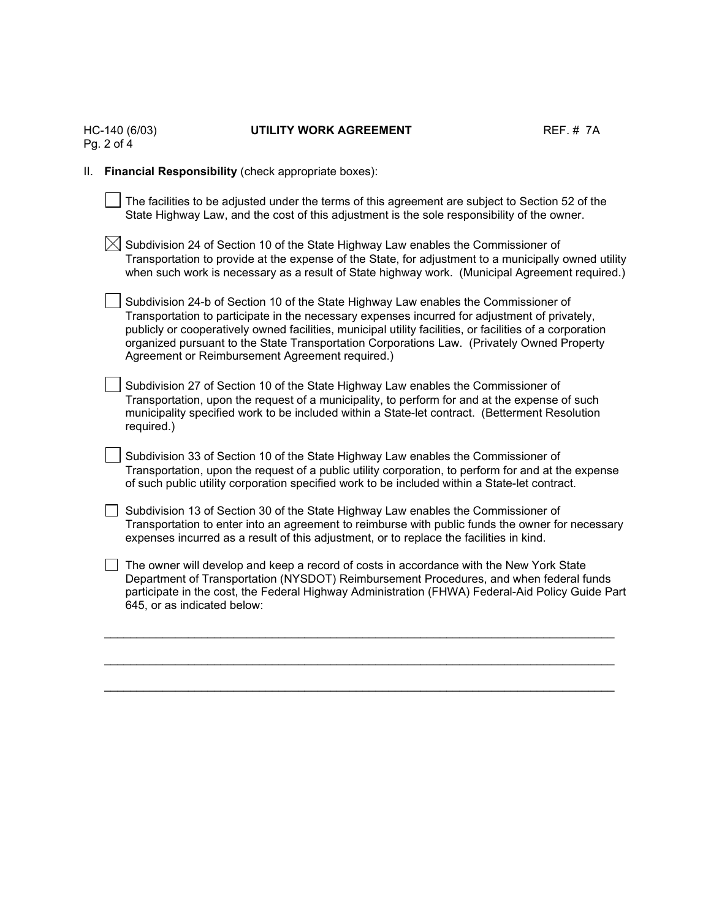|    | HC-140 (6/03)<br>Pg. 2 of 4 | UTILITY WORK AGREEMENT                                                                                                                                                                                                                                                                                                                                                                                                                            | <b>REF. #7A</b> |
|----|-----------------------------|---------------------------------------------------------------------------------------------------------------------------------------------------------------------------------------------------------------------------------------------------------------------------------------------------------------------------------------------------------------------------------------------------------------------------------------------------|-----------------|
| Ш. |                             | Financial Responsibility (check appropriate boxes):                                                                                                                                                                                                                                                                                                                                                                                               |                 |
|    |                             | The facilities to be adjusted under the terms of this agreement are subject to Section 52 of the<br>State Highway Law, and the cost of this adjustment is the sole responsibility of the owner.                                                                                                                                                                                                                                                   |                 |
|    |                             | Subdivision 24 of Section 10 of the State Highway Law enables the Commissioner of<br>Transportation to provide at the expense of the State, for adjustment to a municipally owned utility<br>when such work is necessary as a result of State highway work. (Municipal Agreement required.)                                                                                                                                                       |                 |
|    |                             | Subdivision 24-b of Section 10 of the State Highway Law enables the Commissioner of<br>Transportation to participate in the necessary expenses incurred for adjustment of privately,<br>publicly or cooperatively owned facilities, municipal utility facilities, or facilities of a corporation<br>organized pursuant to the State Transportation Corporations Law. (Privately Owned Property<br>Agreement or Reimbursement Agreement required.) |                 |
|    | required.)                  | Subdivision 27 of Section 10 of the State Highway Law enables the Commissioner of<br>Transportation, upon the request of a municipality, to perform for and at the expense of such<br>municipality specified work to be included within a State-let contract. (Betterment Resolution                                                                                                                                                              |                 |
|    |                             | Subdivision 33 of Section 10 of the State Highway Law enables the Commissioner of<br>Transportation, upon the request of a public utility corporation, to perform for and at the expense<br>of such public utility corporation specified work to be included within a State-let contract.                                                                                                                                                         |                 |
|    |                             | Subdivision 13 of Section 30 of the State Highway Law enables the Commissioner of<br>Transportation to enter into an agreement to reimburse with public funds the owner for necessary<br>expenses incurred as a result of this adjustment, or to replace the facilities in kind.                                                                                                                                                                  |                 |
|    | 645, or as indicated below: | The owner will develop and keep a record of costs in accordance with the New York State<br>Department of Transportation (NYSDOT) Reimbursement Procedures, and when federal funds<br>participate in the cost, the Federal Highway Administration (FHWA) Federal-Aid Policy Guide Part                                                                                                                                                             |                 |
|    |                             |                                                                                                                                                                                                                                                                                                                                                                                                                                                   |                 |

\_\_\_\_\_\_\_\_\_\_\_\_\_\_\_\_\_\_\_\_\_\_\_\_\_\_\_\_\_\_\_\_\_\_\_\_\_\_\_\_\_\_\_\_\_\_\_\_\_\_\_\_\_\_\_\_\_\_\_\_\_\_\_\_\_\_\_\_\_\_\_\_\_\_\_\_\_\_\_

# UTILITY WORK AGREEMENT REF. # 7A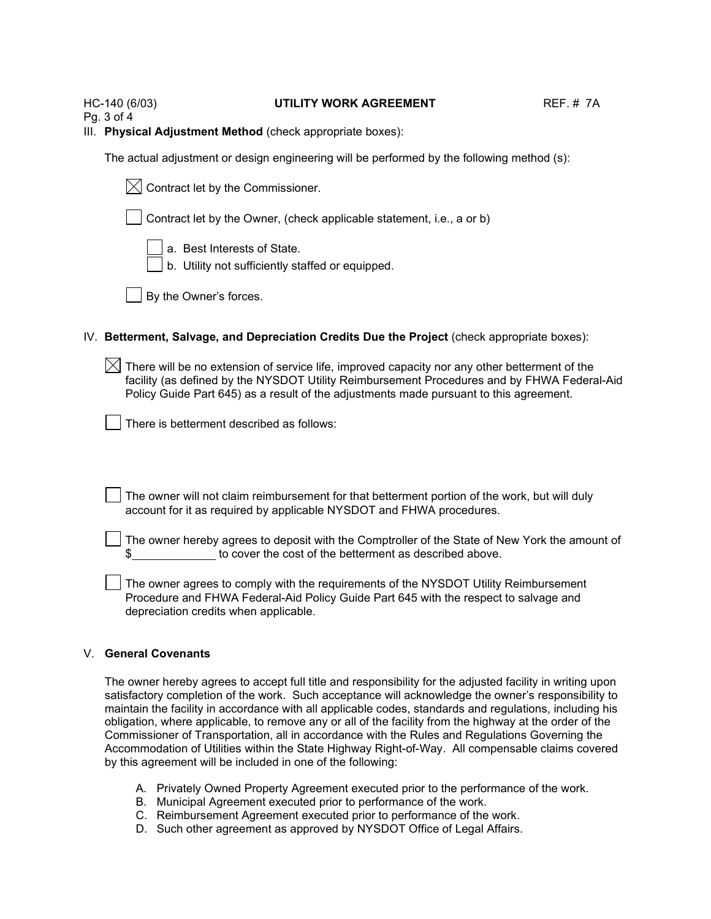#### HC-140 (6/03) **UTILITY WORK AGREEMENT** REF. # 7A

Pg. 3 of 4

III. **Physical Adjustment Method** (check appropriate boxes):

The actual adjustment or design engineering will be performed by the following method (s):

|  |  |  | $\boxtimes$ Contract let by the Commissioner. |
|--|--|--|-----------------------------------------------|
|--|--|--|-----------------------------------------------|

Contract let by the Owner, (check applicable statement, i.e., a or b)

a. Best Interests of State.

b. Utility not sufficiently staffed or equipped.

By the Owner's forces.

## IV. **Betterment, Salvage, and Depreciation Credits Due the Project** (check appropriate boxes):

 $\boxtimes$  There will be no extension of service life, improved capacity nor any other betterment of the facility (as defined by the NYSDOT Utility Reimbursement Procedures and by FHWA Federal-Aid Policy Guide Part 645) as a result of the adjustments made pursuant to this agreement.

There is betterment described as follows:

The owner will not claim reimbursement for that betterment portion of the work, but will duly account for it as required by applicable NYSDOT and FHWA procedures.

The owner hereby agrees to deposit with the Comptroller of the State of New York the amount of to cover the cost of the betterment as described above.

The owner agrees to comply with the requirements of the NYSDOT Utility Reimbursement Procedure and FHWA Federal-Aid Policy Guide Part 645 with the respect to salvage and depreciation credits when applicable.

## V. **General Covenants**

The owner hereby agrees to accept full title and responsibility for the adjusted facility in writing upon satisfactory completion of the work. Such acceptance will acknowledge the owner's responsibility to maintain the facility in accordance with all applicable codes, standards and regulations, including his obligation, where applicable, to remove any or all of the facility from the highway at the order of the Commissioner of Transportation, all in accordance with the Rules and Regulations Governing the Accommodation of Utilities within the State Highway Right-of-Way. All compensable claims covered by this agreement will be included in one of the following:

- A. Privately Owned Property Agreement executed prior to the performance of the work.
- B. Municipal Agreement executed prior to performance of the work.
- C. Reimbursement Agreement executed prior to performance of the work.
- D. Such other agreement as approved by NYSDOT Office of Legal Affairs.